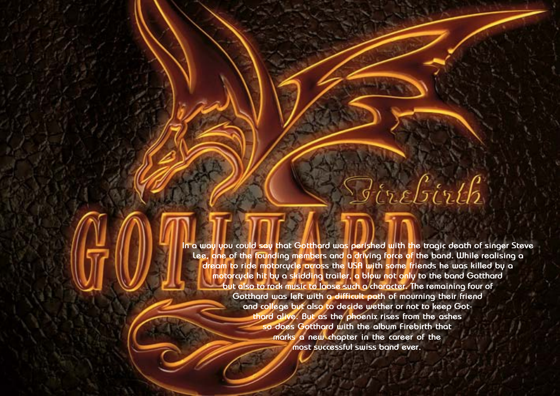**In a way you could say that Gotthard was perished with the tragic death of singer Steve Lee, one of the founding members and a driving force of the band. While realising a dream to ride motorcycle across the USA with some friends he was killed by a motorcycle hit by a skidding trailer, a blow not only to the band Gotthard but also to rock music to loose such a character. The remaining four of Gotthard was left with a difficult path of mourning their friend and college but also to decide wether or not to keep Gotthard alive. But as the phoenix rises from the ashes so does Gotthard with the album Firebirth that marks a new chapter in the career of the most successful swiss band ever.**

ה<br>הודל הודל הודל הודל הודל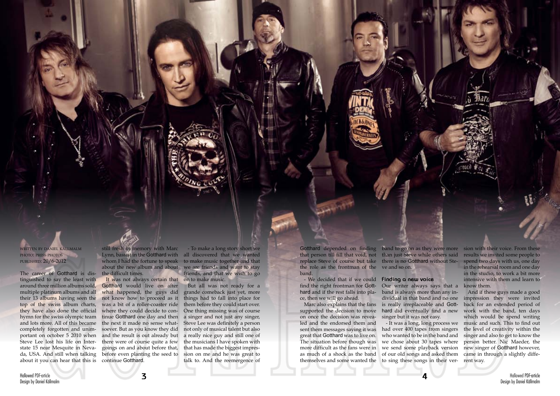Hallowed PDF-article Design by Daniel Källmalm

written by daniel källmalm photo: press photos published: 20/6-2012

The career of Gotthard is distinguished to say the least with around three million albums sold, multiple platinum albums and all their 13 albums having seen the top of the swiss album charts, they have also done the official hymn for the swiss olympic team and lots more. All of this became completely forgotten and unimportant on october 5 2010 when Steve Lee lost his life on Interstate 15 near Mesquite in Nevada, USA. And still when talking about it you can hear that this is

whom I had the fortune to speak to make music together and that - To make a long story short we all discovered that we wanted we are friends and want to stay friends, and that we wish to go on to make music.

still fresh in memory with Marc Lynn, bassist in the Gotthard with about the new album and about the difficult times.

Gotthard depended on finding band to go on as they were more sion with their voice. From these that person till fill that void, not than just Steve while others said replace Steve of course but take there is no Gotthard without Stethe role as the frontman of the ve and so on. band.

It was not always certain that Gotthard would live on after what happened, the guys did not know how to proceed as it was a bit of a roller-coaster ride where they could decide to continue Gotthard one day and then the next it made no sense whatsoever. But as you know they did and the result is out already but there were of course quite a few goings on and about before that, before even planting the seed to continue Gotthard.

But all was not ready for a grande comeback just yet, more things had to fall into place for them before they could start over. One thing missing was of course a singer and not just any singer, Steve Lee was definitely a person not only of musical talent but also a really nice guy and still one of the musicians I have spoken with that has made the biggest impression on me and he was great to talk to. And the reemergence of

- We decided that if we could **Finding a new voice** find the right frontman for Gotthard and if the rest falls into pla-band is always more than any ince, then we will go ahead.

supported the decision to move on once the decision was revealed and the endorsed them and sent them messages saying it was great that Gotthard was to live on. The situation before though was as much of a shock as the band themselves and some wanted the

Marc also explains that the fans is really irreplaceable and Gott-Our writer always says that a dividual in that band and no one hard did eventually find a new singer but it was not easy.

more difficult as the fans were in we send some playback version - It was a long, long process we had over 400 tapes from singers who wanted to be in the band and we chose about 30 tapes where of our old songs and asked them to sing these songs in their ver-

results we invited some people to spend two days with us, one day in the rehearsal room and one day in the studio, to work a bit more intensive with them and learn to know them.

And if these guys made a good impression they were invited back for an extended period of work with the band, ten days which would be spend writing music and such. This to find out the level of creativity within the singer and also to get to know the person better. Nic Maeder, the new singer of Gotthard however, came in through a slightly different way.

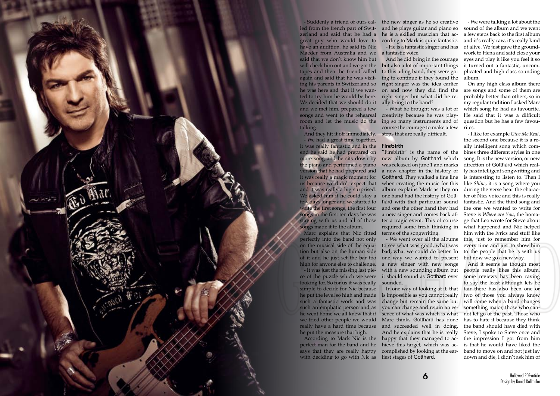

led from the french part of Switzerland and said that he had a great guy who would love to have an audition, he said its Nic Maeder from Australia and we said that we don't know him but will check him out and we got the tapes and then the friend called again and said that he was visiting his parents in Switzerland so he was here and that if we wan-on and now they did find the ted to try him he would be here. We decided that we should do it ally bring to the band? and we met him, prepared a few songs and went to the rehearsal room and let the music do the talking.

perfect man for the band and he says that they are really happy with deciding to go with Nic as liest stages of Gotthard.

- We had a great time together, it was really fantastic and in the end he said he had prepared on more song and he sits down by the piano and performed a piano version that he had prepared and it was really a magic moment for us because we didn't expect that and it was really a big surprised. We asked him if he could stay a few days longer and we started to write the first songs, the first four songs in the first ten days he was staying with us and all of those songs made it to the album.

- Suddenly a friend of ours cal-the new singer as he so creative and he plays guitar and piano so he is a skilled musician that according to Mark is quite fantastic. - He is a fantastic singer and has

Marc explains that Nic fitted perfectly into the band not only on the musical side of the equation but also on the human side of it and he just set the bar too high for anyone else to challenge.

And they hit it off immediately. steps that are really difficult.

- It was just the missing last piece of the puzzle which we were looking for. So for us it was really simple to decide for Nic because he put the level so high and made such a fantastic work and was change but remain the same but such an emphatic person and as he went home we all knew that if we tried other people we would Marc thinks Gotthard has done really have a hard time because he put the measure that high.

a fantastic voice.

And he did bring in the courage but also a lot of important things to this ailing band, they were going to continue if they found the right singer was the idea earlier right singer but what did he re-

- What he brought was a lot of creativity because he was playing so many instruments and of course the courage to make a few

**Firebirth**

According to Mark Nic is the happy that they managed to ac-In one way of looking at it, that is impossible as you cannot really you can change and retain an essence of what was which is what and succeeded well in doing. And he explains that he is really hieve this target, which was accomplished by looking at the ear-

"Firebirth" is the name of the new album by Gotthard which was released on june 1 and marks a new chapter in the history of Gotthard. They walked a fine line when creating the music for this album explains Mark as they on one hand had the history of Gotthard with that particular sound and one the other hand they had a new singer and comes back after a tragic event. This of course required some fresh thinking in terms of the songwriting.

- We went over all the albums to see what was good, what was bad, what we could do better. In one way we wanted to present a new singer with new songs with a new sounding album but it should sound as Gotthard ever sounded.

- We were talking a lot about the sound of the album and we went a few steps back to the first album and it's really raw, it's really kind of alive. We just gave the groundwork to Hena and said close your eyes and play it like you feel it so it turned out a fantastic, uncomplicated and high class sounding album.

On any high class album there are songs and some of them are probably better than others, so in my regular tradition I asked Marc which song he had as favourite. He said that it was a difficult question but he has a few favourites.

- I like for example *Give Me Real*, the second one because it is a really intelligent song which combines three different styles in one song. It is the new version, or new direction of Gotthard which really has intelligent songwriting and is interesting to listen to. Then I like *Shine*, it is a song where you during the verse hear the character of Nics voice and this is really fantastic. And the third song and the one we wanted to write for Steve is *Where are You*, the homage that Leo wrote for Steve about what happened and Nic helped him with the lyrics and stuff like this, just to remember him for every time and just to show him to the people that he is with us but now we go a new way.

And it seems as though most people really likes this album, some reviews has been raving to say the least although lets be fair there has also been one or two of those you always know will come when a band changes something major, those who cannot let go of the past. Those who has to hate it because they think the band should have died with Steve, I spoke to Steve once and the impression I got from him is that he would have liked the band to move on and not just lay down and die, I didn't ask him of